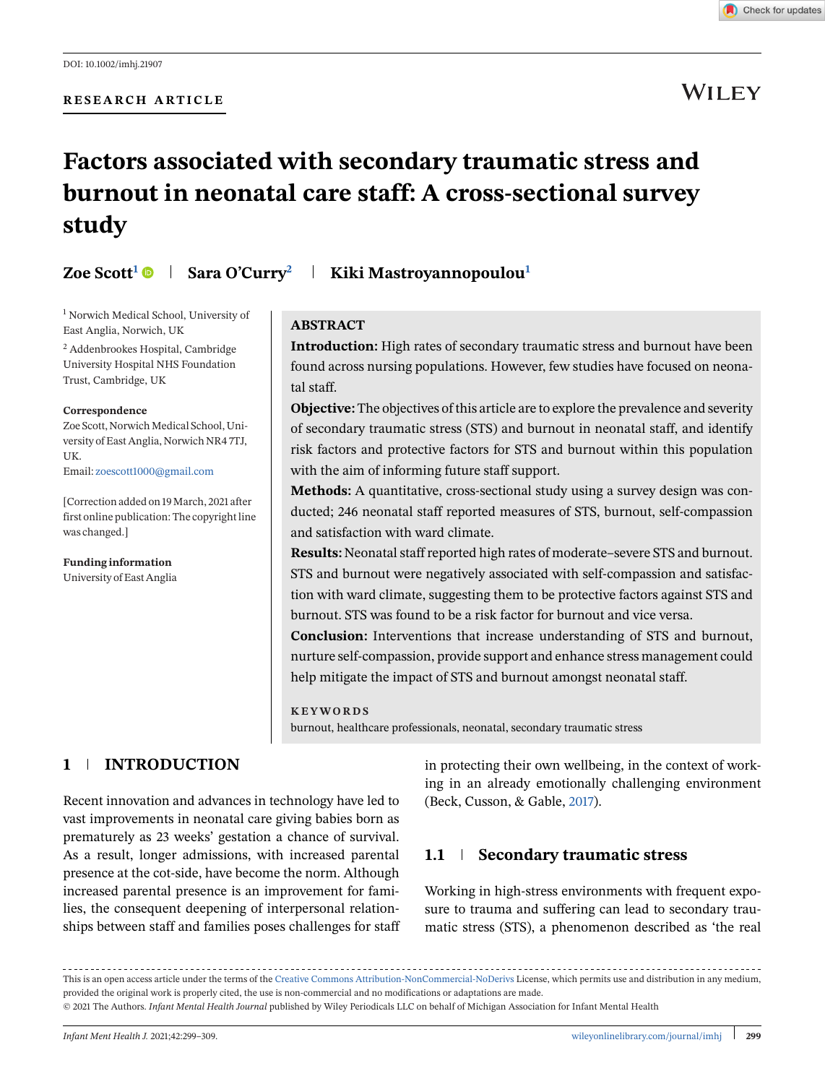

# **WILEY**

# **Factors associated with secondary traumatic stress and burnout in neonatal care staff: A cross-sectional survey study**

# **Zoe Scott<sup>1</sup> • Sara O'Curry<sup>2</sup> kiki Mastroyannopoulou<sup>1</sup>**

<sup>1</sup> Norwich Medical School, University of East Anglia, Norwich, UK

<sup>2</sup> Addenbrookes Hospital, Cambridge University Hospital NHS Foundation Trust, Cambridge, UK

#### **Correspondence**

Zoe Scott, Norwich Medical School, University of East Anglia, Norwich NR4 7TJ, UK. Email: [zoescott1000@gmail.com](mailto:zoescott1000@gmail.com)

[Correction added on 19 March, 2021 after first online publication: The copyright line was changed.]

**Funding information** University of East Anglia

### **ABSTRACT**

**Introduction:** High rates of secondary traumatic stress and burnout have been found across nursing populations. However, few studies have focused on neonatal staff.

**Objective:** The objectives of this article are to explore the prevalence and severity of secondary traumatic stress (STS) and burnout in neonatal staff, and identify risk factors and protective factors for STS and burnout within this population with the aim of informing future staff support.

**Methods:** A quantitative, cross-sectional study using a survey design was conducted; 246 neonatal staff reported measures of STS, burnout, self-compassion and satisfaction with ward climate.

**Results:** Neonatal staff reported high rates of moderate–severe STS and burnout. STS and burnout were negatively associated with self-compassion and satisfaction with ward climate, suggesting them to be protective factors against STS and burnout. STS was found to be a risk factor for burnout and vice versa.

**Conclusion:** Interventions that increase understanding of STS and burnout, nurture self-compassion, provide support and enhance stress management could help mitigate the impact of STS and burnout amongst neonatal staff.

#### **KEYWORDS**

burnout, healthcare professionals, neonatal, secondary traumatic stress

# **1 INTRODUCTION**

Recent innovation and advances in technology have led to vast improvements in neonatal care giving babies born as prematurely as 23 weeks' gestation a chance of survival. As a result, longer admissions, with increased parental presence at the cot-side, have become the norm. Although increased parental presence is an improvement for families, the consequent deepening of interpersonal relationships between staff and families poses challenges for staff in protecting their own wellbeing, in the context of working in an already emotionally challenging environment (Beck, Cusson, & Gable, [2017\)](#page-8-0).

# **1.1 Secondary traumatic stress**

Working in high-stress environments with frequent exposure to trauma and suffering can lead to secondary traumatic stress (STS), a phenomenon described as 'the real

This is an open access article under the terms of the [Creative Commons Attribution-NonCommercial-NoDerivs](http://creativecommons.org/licenses/by-nc-nd/4.0/) License, which permits use and distribution in any medium, provided the original work is properly cited, the use is non-commercial and no modifications or adaptations are made.

<sup>© 2021</sup> The Authors. *Infant Mental Health Journal* published by Wiley Periodicals LLC on behalf of Michigan Association for Infant Mental Health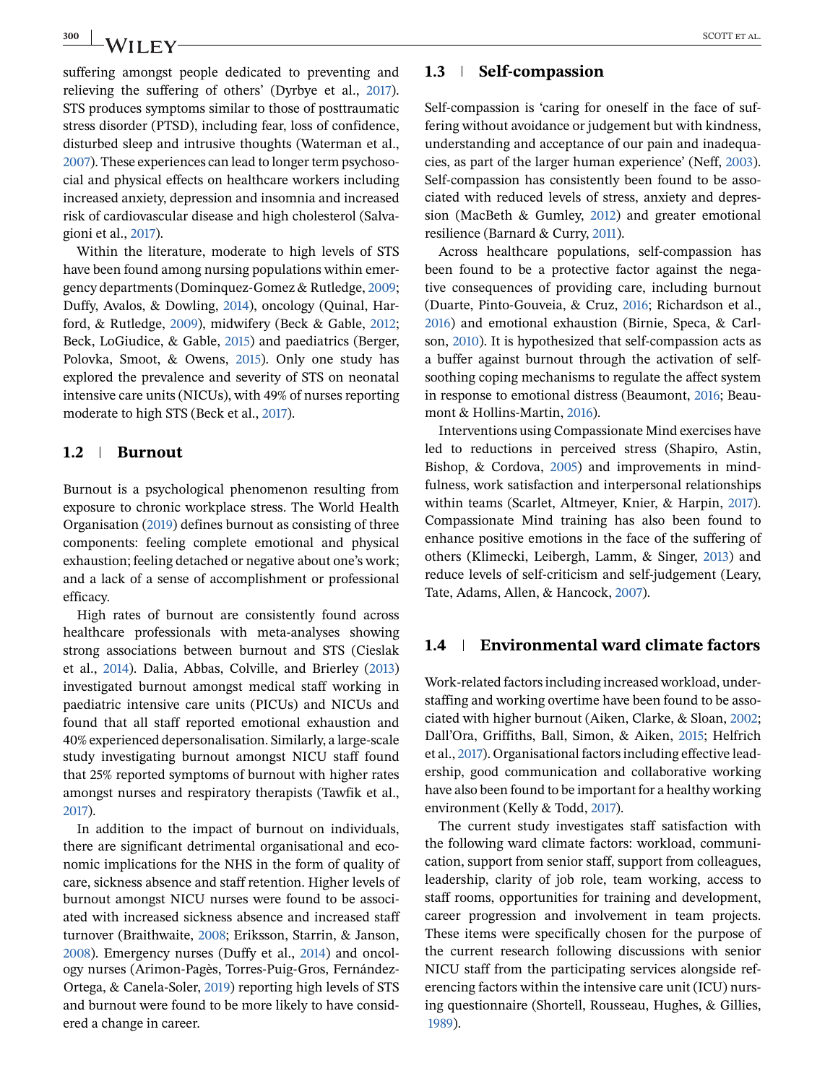suffering amongst people dedicated to preventing and relieving the suffering of others' (Dyrbye et al., [2017\)](#page-9-0). STS produces symptoms similar to those of posttraumatic stress disorder (PTSD), including fear, loss of confidence, disturbed sleep and intrusive thoughts (Waterman et al., [2007\)](#page-9-0). These experiences can lead to longer term psychosocial and physical effects on healthcare workers including increased anxiety, depression and insomnia and increased risk of cardiovascular disease and high cholesterol (Salvagioni et al., [2017\)](#page-9-0).

Within the literature, moderate to high levels of STS have been found among nursing populations within emergency departments (Dominquez-Gomez & Rutledge, [2009;](#page-9-0) Duffy, Avalos, & Dowling, [2014\)](#page-9-0), oncology (Quinal, Harford, & Rutledge, [2009\)](#page-9-0), midwifery (Beck & Gable, [2012;](#page-8-0) Beck, LoGiudice, & Gable, [2015\)](#page-8-0) and paediatrics (Berger, Polovka, Smoot, & Owens, [2015\)](#page-8-0). Only one study has explored the prevalence and severity of STS on neonatal intensive care units (NICUs), with 49% of nurses reporting moderate to high STS (Beck et al., [2017\)](#page-8-0).

# **1.2 Burnout**

Burnout is a psychological phenomenon resulting from exposure to chronic workplace stress. The World Health Organisation [\(2019\)](#page-10-0) defines burnout as consisting of three components: feeling complete emotional and physical exhaustion; feeling detached or negative about one's work; and a lack of a sense of accomplishment or professional efficacy.

High rates of burnout are consistently found across healthcare professionals with meta-analyses showing strong associations between burnout and STS (Cieslak et al., [2014\)](#page-9-0). Dalia, Abbas, Colville, and Brierley [\(2013\)](#page-9-0) investigated burnout amongst medical staff working in paediatric intensive care units (PICUs) and NICUs and found that all staff reported emotional exhaustion and 40% experienced depersonalisation. Similarly, a large-scale study investigating burnout amongst NICU staff found that 25% reported symptoms of burnout with higher rates amongst nurses and respiratory therapists (Tawfik et al., [2017\)](#page-9-0).

In addition to the impact of burnout on individuals, there are significant detrimental organisational and economic implications for the NHS in the form of quality of care, sickness absence and staff retention. Higher levels of burnout amongst NICU nurses were found to be associated with increased sickness absence and increased staff turnover (Braithwaite, [2008;](#page-8-0) Eriksson, Starrin, & Janson, [2008\)](#page-9-0). Emergency nurses (Duffy et al., [2014\)](#page-9-0) and oncology nurses (Arimon-Pagès, Torres-Puig-Gros, Fernández-Ortega, & Canela-Soler, [2019\)](#page-8-0) reporting high levels of STS and burnout were found to be more likely to have considered a change in career.

#### **1.3 Self-compassion**

Self-compassion is 'caring for oneself in the face of suffering without avoidance or judgement but with kindness, understanding and acceptance of our pain and inadequacies, as part of the larger human experience' (Neff, [2003\)](#page-9-0). Self-compassion has consistently been found to be associated with reduced levels of stress, anxiety and depression (MacBeth & Gumley, [2012\)](#page-9-0) and greater emotional resilience (Barnard & Curry, [2011\)](#page-8-0).

Across healthcare populations, self-compassion has been found to be a protective factor against the negative consequences of providing care, including burnout (Duarte, Pinto-Gouveia, & Cruz, [2016;](#page-9-0) Richardson et al., [2016\)](#page-9-0) and emotional exhaustion (Birnie, Speca, & Carlson, [2010\)](#page-8-0). It is hypothesized that self-compassion acts as a buffer against burnout through the activation of selfsoothing coping mechanisms to regulate the affect system in response to emotional distress (Beaumont, [2016;](#page-8-0) Beaumont & Hollins-Martin, [2016\)](#page-8-0).

Interventions using Compassionate Mind exercises have led to reductions in perceived stress (Shapiro, Astin, Bishop, & Cordova, [2005\)](#page-9-0) and improvements in mindfulness, work satisfaction and interpersonal relationships within teams (Scarlet, Altmeyer, Knier, & Harpin, [2017\)](#page-9-0). Compassionate Mind training has also been found to enhance positive emotions in the face of the suffering of others (Klimecki, Leibergh, Lamm, & Singer, [2013\)](#page-9-0) and reduce levels of self-criticism and self-judgement (Leary, Tate, Adams, Allen, & Hancock, [2007\)](#page-9-0).

# **1.4 Environmental ward climate factors**

Work-related factors including increased workload, understaffing and working overtime have been found to be associated with higher burnout (Aiken, Clarke, & Sloan, [2002;](#page-8-0) Dall'Ora, Griffiths, Ball, Simon, & Aiken, [2015;](#page-9-0) Helfrich et al., [2017\)](#page-9-0). Organisational factors including effective leadership, good communication and collaborative working have also been found to be important for a healthy working environment (Kelly & Todd, [2017\)](#page-9-0).

The current study investigates staff satisfaction with the following ward climate factors: workload, communication, support from senior staff, support from colleagues, leadership, clarity of job role, team working, access to staff rooms, opportunities for training and development, career progression and involvement in team projects. These items were specifically chosen for the purpose of the current research following discussions with senior NICU staff from the participating services alongside referencing factors within the intensive care unit (ICU) nursing questionnaire (Shortell, Rousseau, Hughes, & Gillies, [1989\)](#page-9-0).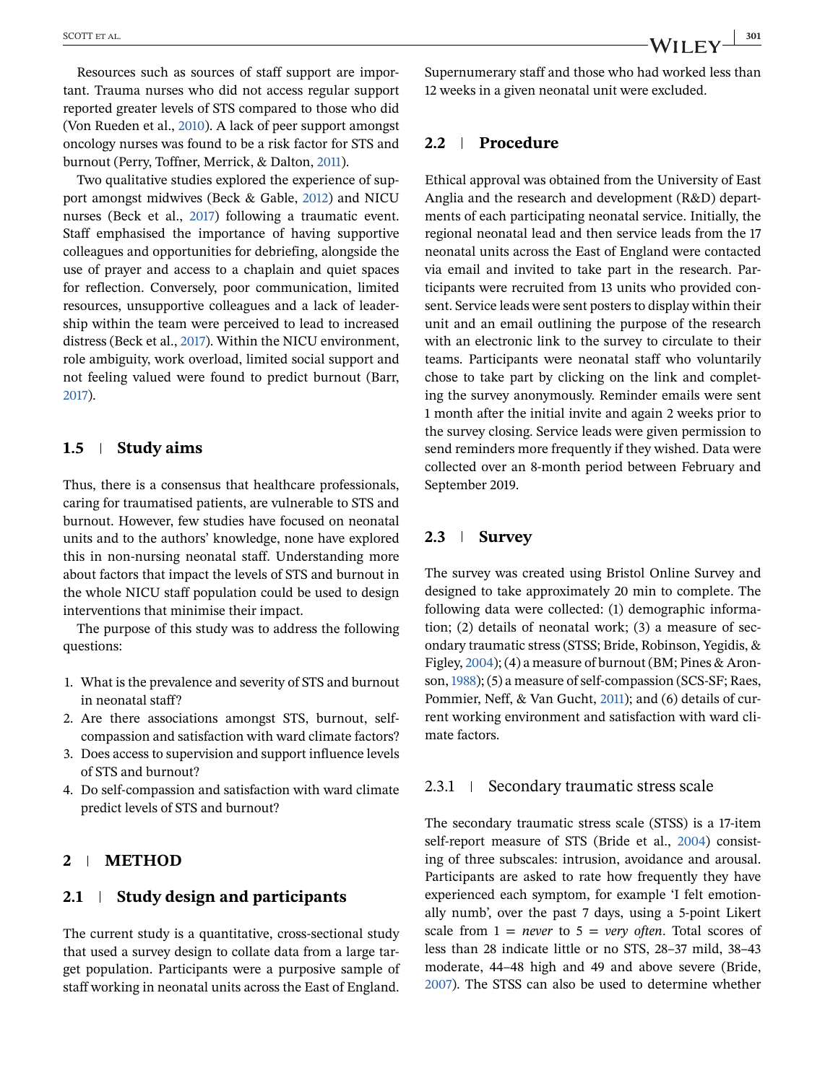Resources such as sources of staff support are important. Trauma nurses who did not access regular support reported greater levels of STS compared to those who did (Von Rueden et al., [2010\)](#page-9-0). A lack of peer support amongst oncology nurses was found to be a risk factor for STS and burnout (Perry, Toffner, Merrick, & Dalton, [2011\)](#page-9-0).

Two qualitative studies explored the experience of support amongst midwives (Beck & Gable, [2012\)](#page-8-0) and NICU nurses (Beck et al., [2017\)](#page-8-0) following a traumatic event. Staff emphasised the importance of having supportive colleagues and opportunities for debriefing, alongside the use of prayer and access to a chaplain and quiet spaces for reflection. Conversely, poor communication, limited resources, unsupportive colleagues and a lack of leadership within the team were perceived to lead to increased distress (Beck et al., [2017\)](#page-8-0). Within the NICU environment, role ambiguity, work overload, limited social support and not feeling valued were found to predict burnout (Barr, [2017\)](#page-8-0).

#### **1.5 Study aims**

Thus, there is a consensus that healthcare professionals, caring for traumatised patients, are vulnerable to STS and burnout. However, few studies have focused on neonatal units and to the authors' knowledge, none have explored this in non-nursing neonatal staff. Understanding more about factors that impact the levels of STS and burnout in the whole NICU staff population could be used to design interventions that minimise their impact.

The purpose of this study was to address the following questions:

- 1. What is the prevalence and severity of STS and burnout in neonatal staff?
- 2. Are there associations amongst STS, burnout, selfcompassion and satisfaction with ward climate factors?
- 3. Does access to supervision and support influence levels of STS and burnout?
- 4. Do self-compassion and satisfaction with ward climate predict levels of STS and burnout?

# **2 METHOD**

# **2.1 Study design and participants**

The current study is a quantitative, cross-sectional study that used a survey design to collate data from a large target population. Participants were a purposive sample of staff working in neonatal units across the East of England.

Supernumerary staff and those who had worked less than 12 weeks in a given neonatal unit were excluded.

### **2.2 Procedure**

Ethical approval was obtained from the University of East Anglia and the research and development (R&D) departments of each participating neonatal service. Initially, the regional neonatal lead and then service leads from the 17 neonatal units across the East of England were contacted via email and invited to take part in the research. Participants were recruited from 13 units who provided consent. Service leads were sent posters to display within their unit and an email outlining the purpose of the research with an electronic link to the survey to circulate to their teams. Participants were neonatal staff who voluntarily chose to take part by clicking on the link and completing the survey anonymously. Reminder emails were sent 1 month after the initial invite and again 2 weeks prior to the survey closing. Service leads were given permission to send reminders more frequently if they wished. Data were collected over an 8-month period between February and September 2019.

# **2.3 Survey**

The survey was created using Bristol Online Survey and designed to take approximately 20 min to complete. The following data were collected: (1) demographic information; (2) details of neonatal work; (3) a measure of secondary traumatic stress (STSS; Bride, Robinson, Yegidis, & Figley, [2004\)](#page-8-0); (4) a measure of burnout (BM; Pines & Aronson,[1988\)](#page-9-0); (5) a measure of self-compassion (SCS-SF; Raes, Pommier, Neff, & Van Gucht, [2011\)](#page-9-0); and (6) details of current working environment and satisfaction with ward climate factors.

#### 2.3.1 Secondary traumatic stress scale

The secondary traumatic stress scale (STSS) is a 17-item self-report measure of STS (Bride et al., [2004\)](#page-8-0) consisting of three subscales: intrusion, avoidance and arousal. Participants are asked to rate how frequently they have experienced each symptom, for example 'I felt emotionally numb', over the past 7 days, using a 5-point Likert scale from  $1 = never$  to  $5 = very$  *often*. Total scores of less than 28 indicate little or no STS, 28–37 mild, 38–43 moderate, 44–48 high and 49 and above severe (Bride, [2007\)](#page-8-0). The STSS can also be used to determine whether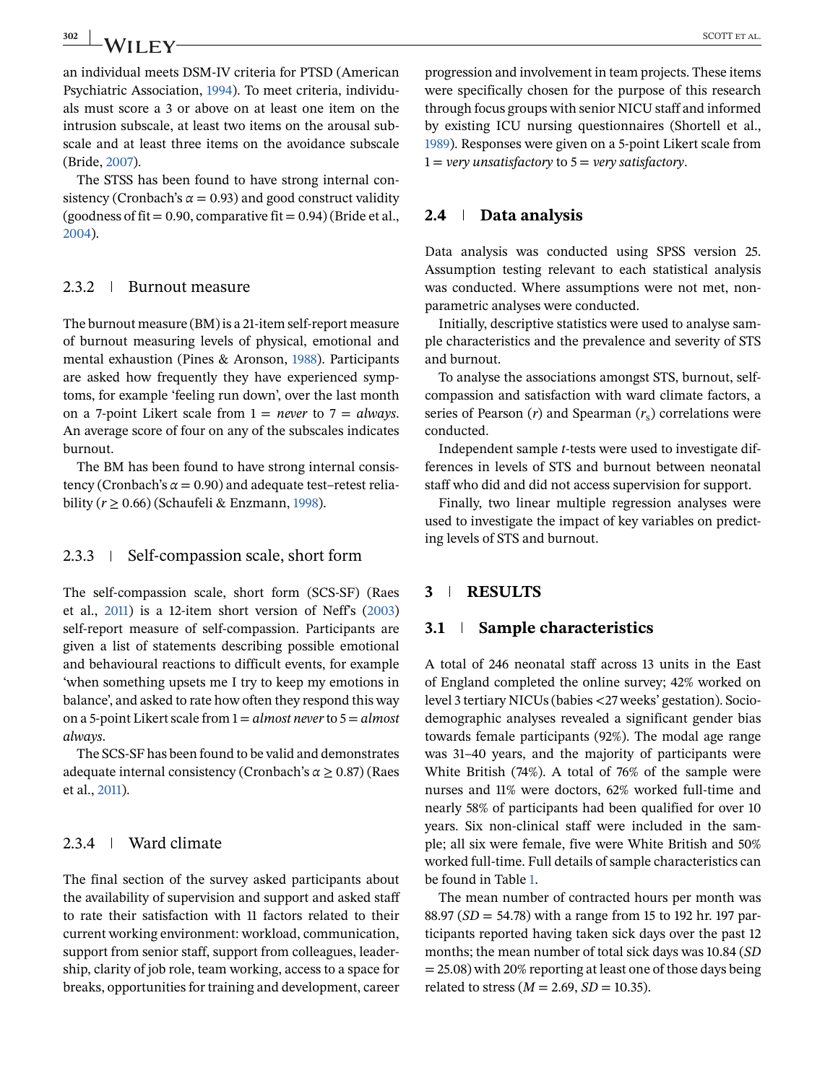The STSS has been found to have strong internal consistency (Cronbach's  $\alpha$  = 0.93) and good construct validity (goodness of fit =  $0.90$ , comparative fit =  $0.94$ ) (Bride et al., [2004\)](#page-8-0).

#### 2.3.2 | Burnout measure

The burnout measure (BM) is a 21-item self-report measure of burnout measuring levels of physical, emotional and mental exhaustion (Pines & Aronson, [1988\)](#page-9-0). Participants are asked how frequently they have experienced symptoms, for example 'feeling run down', over the last month on a 7-point Likert scale from 1 = *never* to 7 = *always*. An average score of four on any of the subscales indicates burnout.

The BM has been found to have strong internal consistency (Cronbach's  $\alpha$  = 0.90) and adequate test–retest reliability ( $r \geq 0.66$ ) (Schaufeli & Enzmann, [1998\)](#page-9-0).

#### $2.3.3$  Self-compassion scale, short form

The self-compassion scale, short form (SCS-SF) (Raes et al., [2011\)](#page-9-0) is a 12-item short version of Neff's [\(2003\)](#page-9-0) self-report measure of self-compassion. Participants are given a list of statements describing possible emotional and behavioural reactions to difficult events, for example 'when something upsets me I try to keep my emotions in balance', and asked to rate how often they respond this way on a 5-point Likert scale from 1 = *almost never*to 5 = *almost always*.

The SCS-SF has been found to be valid and demonstrates adequate internal consistency (Cronbach's *α* ≥ 0.87) (Raes et al., [2011\)](#page-9-0).

# 2.3.4 Ward climate

The final section of the survey asked participants about the availability of supervision and support and asked staff to rate their satisfaction with 11 factors related to their current working environment: workload, communication, support from senior staff, support from colleagues, leadership, clarity of job role, team working, access to a space for breaks, opportunities for training and development, career

progression and involvement in team projects. These items were specifically chosen for the purpose of this research through focus groups with senior NICU staff and informed by existing ICU nursing questionnaires (Shortell et al., [1989\)](#page-9-0). Responses were given on a 5-point Likert scale from 1 = *very unsatisfactory* to 5 = *very satisfactory*.

#### **2.4 Data analysis**

Data analysis was conducted using SPSS version 25. Assumption testing relevant to each statistical analysis was conducted. Where assumptions were not met, nonparametric analyses were conducted.

Initially, descriptive statistics were used to analyse sample characteristics and the prevalence and severity of STS and burnout.

To analyse the associations amongst STS, burnout, selfcompassion and satisfaction with ward climate factors, a series of Pearson  $(r)$  and Spearman  $(r_s)$  correlations were conducted.

Independent sample *t*-tests were used to investigate differences in levels of STS and burnout between neonatal staff who did and did not access supervision for support.

Finally, two linear multiple regression analyses were used to investigate the impact of key variables on predicting levels of STS and burnout.

#### **3 RESULTS**

#### **3.1 Sample characteristics**

A total of 246 neonatal staff across 13 units in the East of England completed the online survey; 42% worked on level 3 tertiary NICUs (babies <27 weeks' gestation). Sociodemographic analyses revealed a significant gender bias towards female participants (92%). The modal age range was 31–40 years, and the majority of participants were White British (74%). A total of 76% of the sample were nurses and 11% were doctors, 62% worked full-time and nearly 58% of participants had been qualified for over 10 years. Six non-clinical staff were included in the sample; all six were female, five were White British and 50% worked full-time. Full details of sample characteristics can be found in Table [1.](#page-4-0)

The mean number of contracted hours per month was 88.97 (*SD* = 54.78) with a range from 15 to 192 hr. 197 participants reported having taken sick days over the past 12 months; the mean number of total sick days was 10.84 (*SD* = 25.08) with 20% reporting at least one of those days being related to stress ( $M = 2.69$ ,  $SD = 10.35$ ).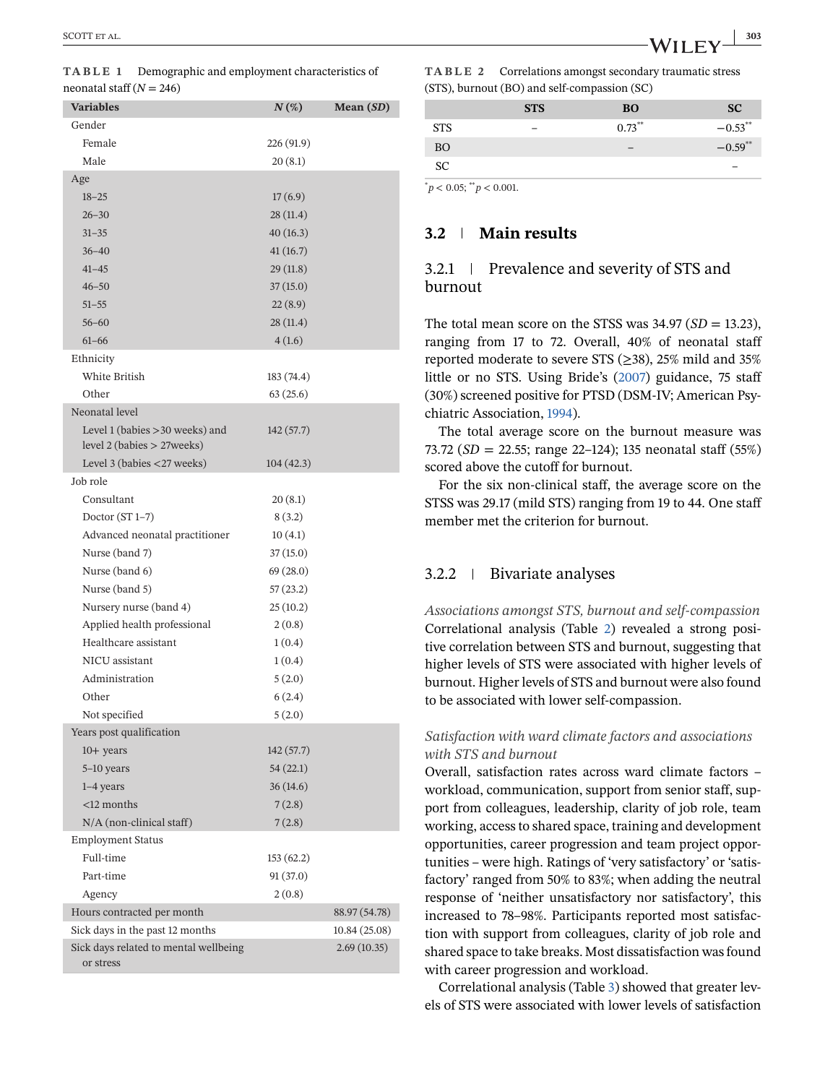<span id="page-4-0"></span>

| <b>Variables</b>                                                   | $N(\%)$    | Mean $(SD)$   |
|--------------------------------------------------------------------|------------|---------------|
| Gender                                                             |            |               |
| Female                                                             | 226 (91.9) |               |
| Male                                                               | 20(8.1)    |               |
| Age                                                                |            |               |
| $18 - 25$                                                          | 17(6.9)    |               |
| $26 - 30$                                                          | 28(11.4)   |               |
| $31 - 35$                                                          | 40(16.3)   |               |
| $36 - 40$                                                          | 41(16.7)   |               |
| $41 - 45$                                                          | 29(11.8)   |               |
| $46 - 50$                                                          | 37(15.0)   |               |
| $51 - 55$                                                          | 22(8.9)    |               |
| $56 - 60$                                                          | 28(11.4)   |               |
| $61 - 66$                                                          | 4(1.6)     |               |
| Ethnicity                                                          |            |               |
| White British                                                      | 183 (74.4) |               |
| Other                                                              | 63(25.6)   |               |
| Neonatal level                                                     |            |               |
| Level 1 (babies > 30 weeks) and<br>level $2$ (babies $>$ 27 weeks) | 142 (57.7) |               |
| Level 3 (babies <27 weeks)                                         | 104(42.3)  |               |
| Job role                                                           |            |               |
| Consultant                                                         | 20(8.1)    |               |
| Doctor $(ST 1-7)$                                                  | 8(3.2)     |               |
| Advanced neonatal practitioner                                     | 10(4.1)    |               |
| Nurse (band 7)                                                     | 37(15.0)   |               |
| Nurse (band 6)                                                     | 69 (28.0)  |               |
| Nurse (band 5)                                                     | 57(23.2)   |               |
| Nursery nurse (band 4)                                             | 25(10.2)   |               |
| Applied health professional                                        | 2(0.8)     |               |
| Healthcare assistant                                               | 1(0.4)     |               |
| NICU assistant                                                     | 1(0.4)     |               |
| Administration                                                     | 5(2.0)     |               |
| Other                                                              | 6(2.4)     |               |
| Not specified                                                      | 5(2.0)     |               |
| Years post qualification                                           |            |               |
| $10+$ years                                                        | 142(57.7)  |               |
| 5-10 years                                                         | 54 (22.1)  |               |
| $1-4$ years                                                        | 36(14.6)   |               |
| $<$ 12 months                                                      | 7(2.8)     |               |
| N/A (non-clinical staff)                                           | 7(2.8)     |               |
| <b>Employment Status</b>                                           |            |               |
| Full-time                                                          | 153 (62.2) |               |
| Part-time                                                          | 91(37.0)   |               |
| Agency                                                             | 2(0.8)     |               |
| Hours contracted per month                                         |            | 88.97 (54.78) |
| Sick days in the past 12 months                                    |            | 10.84 (25.08) |
| Sick days related to mental wellbeing                              |            | 2.69(10.35)   |
| or stress                                                          |            |               |

**TABLE 2** Correlations amongst secondary traumatic stress (STS), burnout (BO) and self-compassion (SC)

|            | <b>STS</b> | <b>BO</b> | <b>SC</b>  |
|------------|------------|-----------|------------|
| <b>STS</b> | -          | $0.73***$ | $-0.53***$ |
| <b>BO</b>  |            |           | $-0.59**$  |
| <b>SC</b>  |            |           |            |

 $p^*$  < 0.05;  $p^*$  < 0.001.

# **3.2 Main results**

# 3.2.1 Prevalence and severity of STS and burnout

The total mean score on the STSS was  $34.97$  (*SD* = 13.23), ranging from 17 to 72. Overall, 40% of neonatal staff reported moderate to severe STS ( $\geq$ 38), 25% mild and 35% little or no STS. Using Bride's [\(2007\)](#page-8-0) guidance, 75 staff (30%) screened positive for PTSD (DSM-IV; American Psychiatric Association, [1994\)](#page-8-0).

The total average score on the burnout measure was 73.72 (*SD* = 22.55; range 22–124); 135 neonatal staff (55%) scored above the cutoff for burnout.

For the six non-clinical staff, the average score on the STSS was 29.17 (mild STS) ranging from 19 to 44. One staff member met the criterion for burnout.

# 3.2.2 Bivariate analyses

*Associations amongst STS, burnout and self-compassion* Correlational analysis (Table 2) revealed a strong positive correlation between STS and burnout, suggesting that higher levels of STS were associated with higher levels of burnout. Higher levels of STS and burnout were also found to be associated with lower self-compassion.

# *Satisfaction with ward climate factors and associations with STS and burnout*

Overall, satisfaction rates across ward climate factors – workload, communication, support from senior staff, support from colleagues, leadership, clarity of job role, team working, access to shared space, training and development opportunities, career progression and team project opportunities – were high. Ratings of 'very satisfactory' or 'satisfactory' ranged from 50% to 83%; when adding the neutral response of 'neither unsatisfactory nor satisfactory', this increased to 78–98%. Participants reported most satisfaction with support from colleagues, clarity of job role and shared space to take breaks. Most dissatisfaction was found with career progression and workload.

Correlational analysis (Table [3\)](#page-5-0) showed that greater levels of STS were associated with lower levels of satisfaction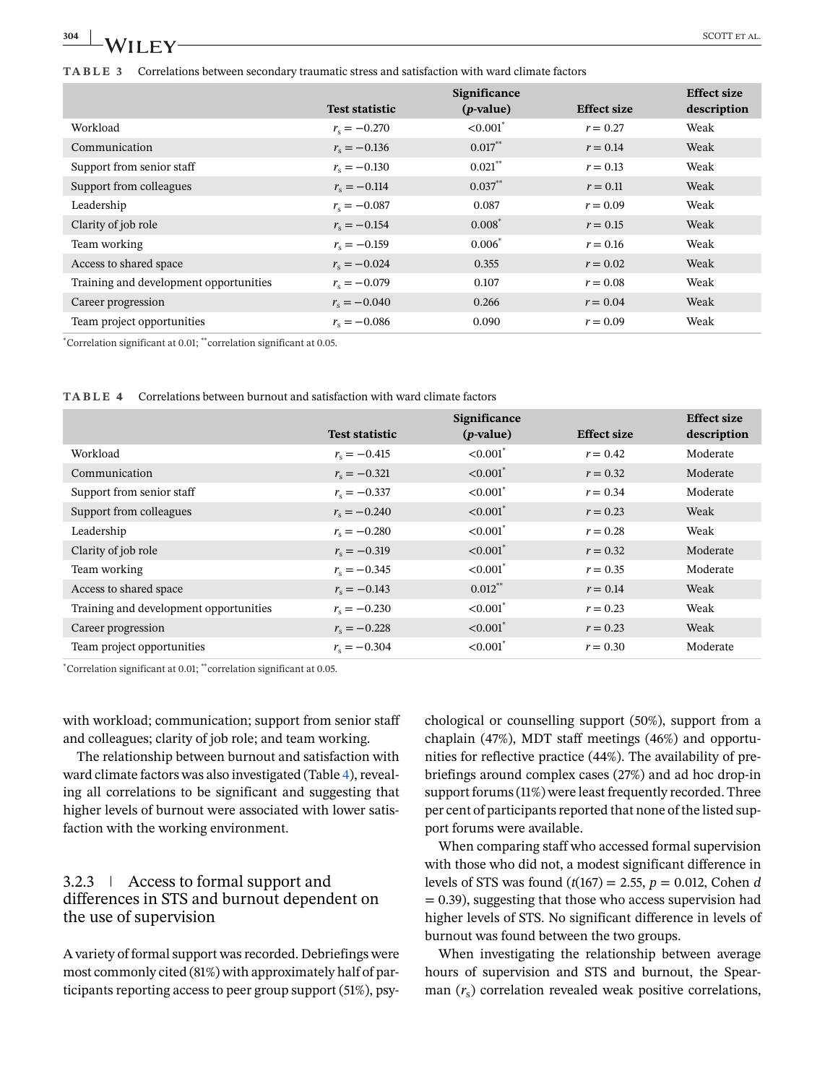# <span id="page-5-0"></span>**304** SCOTT ET ALL **SCOTT** ET AL. **TABLE 3** Correlations between secondary traumatic stress and satisfaction with ward climate factors

|                                        |                       | Significance           |                    | <b>Effect size</b> |
|----------------------------------------|-----------------------|------------------------|--------------------|--------------------|
|                                        | <b>Test statistic</b> | $(p-value)$            | <b>Effect size</b> | description        |
| Workload                               | $r_{\rm s} = -0.270$  | $< 0.001$ <sup>*</sup> | $r = 0.27$         | Weak               |
| Communication                          | $r_{\rm s} = -0.136$  | $0.017***$             | $r = 0.14$         | Weak               |
| Support from senior staff              | $r_{\rm e} = -0.130$  | $0.021***$             | $r = 0.13$         | Weak               |
| Support from colleagues                | $r_{\rm s} = -0.114$  | $0.037***$             | $r = 0.11$         | Weak               |
| Leadership                             | $r_{\rm e} = -0.087$  | 0.087                  | $r = 0.09$         | Weak               |
| Clarity of job role                    | $r_{\rm s} = -0.154$  | $0.008*$               | $r = 0.15$         | Weak               |
| Team working                           | $r_{\rm s} = -0.159$  | $0.006*$               | $r = 0.16$         | Weak               |
| Access to shared space                 | $r_{\rm s} = -0.024$  | 0.355                  | $r = 0.02$         | Weak               |
| Training and development opportunities | $r_{\rm s} = -0.079$  | 0.107                  | $r = 0.08$         | Weak               |
| Career progression                     | $r_{\rm s} = -0.040$  | 0.266                  | $r = 0.04$         | Weak               |
| Team project opportunities             | $r_{\rm e} = -0.086$  | 0.090                  | $r = 0.09$         | Weak               |

\* Correlation significant at 0.01; \*\*correlation significant at 0.05.

|  |  | <b>TABLE 4</b> Correlations between burnout and satisfaction with ward climate factors |  |  |  |  |  |
|--|--|----------------------------------------------------------------------------------------|--|--|--|--|--|
|--|--|----------------------------------------------------------------------------------------|--|--|--|--|--|

|                                        |                       | <b>Effect size</b>     |                    |             |
|----------------------------------------|-----------------------|------------------------|--------------------|-------------|
|                                        | <b>Test statistic</b> | $(p-value)$            | <b>Effect size</b> | description |
| Workload                               | $r_{\rm s} = -0.415$  | $< 0.001$ <sup>*</sup> | $r = 0.42$         | Moderate    |
| Communication                          | $r_{\rm s} = -0.321$  | $< 0.001$ <sup>*</sup> | $r = 0.32$         | Moderate    |
| Support from senior staff              | $r_{\rm s} = -0.337$  | $< 0.001$ <sup>*</sup> | $r = 0.34$         | Moderate    |
| Support from colleagues                | $r_{\rm s} = -0.240$  | $< 0.001$ <sup>*</sup> | $r = 0.23$         | Weak        |
| Leadership                             | $r_{\rm e} = -0.280$  | $< 0.001$ <sup>*</sup> | $r = 0.28$         | Weak        |
| Clarity of job role                    | $r_{\rm e} = -0.319$  | $< 0.001$ <sup>*</sup> | $r = 0.32$         | Moderate    |
| Team working                           | $r_{\rm s} = -0.345$  | $< 0.001$ <sup>*</sup> | $r = 0.35$         | Moderate    |
| Access to shared space                 | $r_{\rm s} = -0.143$  | $0.012***$             | $r = 0.14$         | Weak        |
| Training and development opportunities | $r_{\rm e} = -0.230$  | $< 0.001$ <sup>*</sup> | $r = 0.23$         | Weak        |
| Career progression                     | $r_{\rm s} = -0.228$  | $< 0.001$ <sup>*</sup> | $r = 0.23$         | Weak        |
| Team project opportunities             | $r_{\rm e} = -0.304$  | $< 0.001$ <sup>*</sup> | $r = 0.30$         | Moderate    |

\* Correlation significant at 0.01; \*\*correlation significant at 0.05.

with workload; communication; support from senior staff and colleagues; clarity of job role; and team working.

The relationship between burnout and satisfaction with ward climate factors was also investigated (Table 4), revealing all correlations to be significant and suggesting that higher levels of burnout were associated with lower satisfaction with the working environment.

# 3.2.3 Access to formal support and differences in STS and burnout dependent on the use of supervision

A variety of formal support was recorded. Debriefings were most commonly cited (81%) with approximately half of participants reporting access to peer group support (51%), psychological or counselling support (50%), support from a chaplain (47%), MDT staff meetings (46%) and opportunities for reflective practice (44%). The availability of prebriefings around complex cases (27%) and ad hoc drop-in support forums (11%) were least frequently recorded. Three per cent of participants reported that none of the listed support forums were available.

When comparing staff who accessed formal supervision with those who did not, a modest significant difference in levels of STS was found (*t*(167) = 2.55, *p* = 0.012, Cohen *d*  $= 0.39$ ), suggesting that those who access supervision had higher levels of STS. No significant difference in levels of burnout was found between the two groups.

When investigating the relationship between average hours of supervision and STS and burnout, the Spearman (*r*s) correlation revealed weak positive correlations,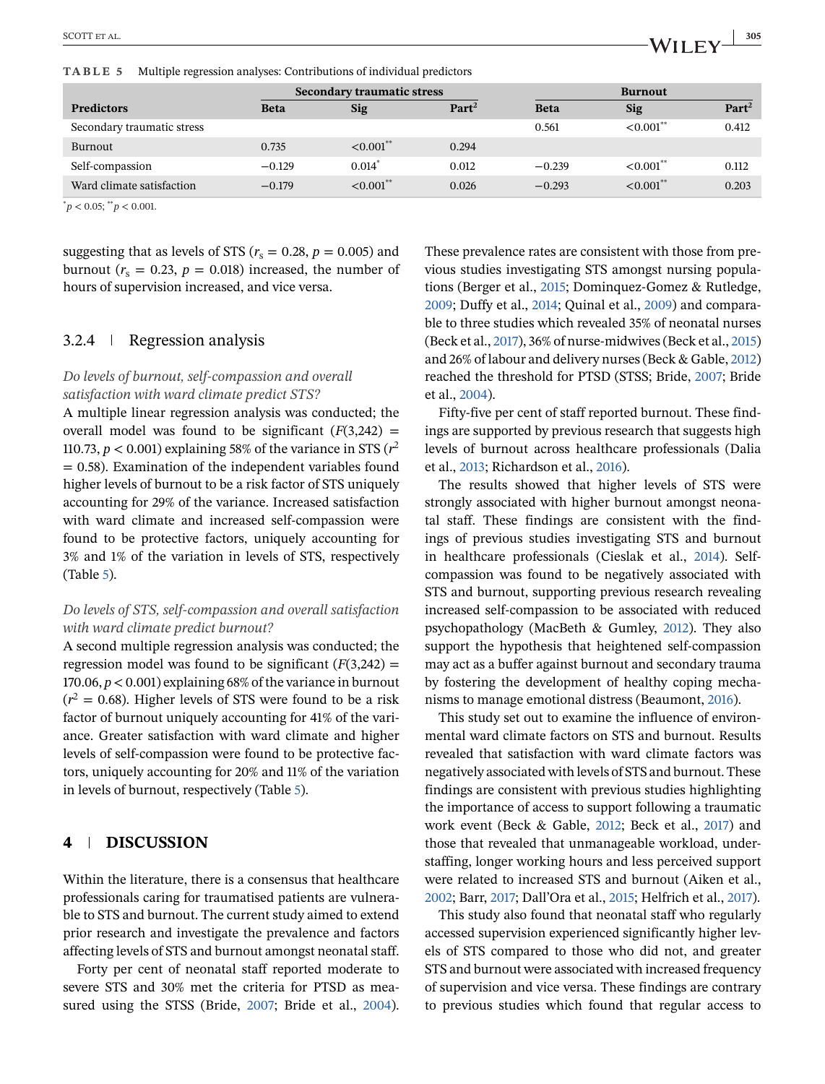**TABLE 5** Multiple regression analyses: Contributions of individual predictors

|                            | <b>Secondary traumatic stress</b> |                      |                   | <b>Burnout</b> |                         |                   |
|----------------------------|-----------------------------------|----------------------|-------------------|----------------|-------------------------|-------------------|
| <b>Predictors</b>          | <b>Beta</b>                       | <b>Sig</b>           | Part <sup>2</sup> | <b>Beta</b>    | <b>Sig</b>              | Part <sup>2</sup> |
| Secondary traumatic stress |                                   |                      |                   | 0.561          | $< 0.001$ <sup>**</sup> | 0.412             |
| Burnout                    | 0.735                             | $\leq 0.001^{**}$    | 0.294             |                |                         |                   |
| Self-compassion            | $-0.129$                          | $0.014$ <sup>*</sup> | 0.012             | $-0.239$       | $< 0.001$ **            | 0.112             |
| Ward climate satisfaction  | $-0.179$                          | $< 0.001$ **         | 0.026             | $-0.293$       | $<0.001**$              | 0.203             |

 $p^*$   $p$  < 0.05;  $p^*$   $p$  < 0.001.

suggesting that as levels of STS ( $r_s = 0.28$ ,  $p = 0.005$ ) and burnout ( $r_s = 0.23$ ,  $p = 0.018$ ) increased, the number of hours of supervision increased, and vice versa.

# 3.2.4 Regression analysis

### *Do levels of burnout, self-compassion and overall satisfaction with ward climate predict STS?*

A multiple linear regression analysis was conducted; the overall model was found to be significant  $(F(3,242) =$ 110.73,  $p < 0.001$ ) explaining 58% of the variance in STS ( $r^2$ )  $= 0.58$ ). Examination of the independent variables found higher levels of burnout to be a risk factor of STS uniquely accounting for 29% of the variance. Increased satisfaction with ward climate and increased self-compassion were found to be protective factors, uniquely accounting for 3% and 1% of the variation in levels of STS, respectively (Table 5).

#### *Do levels of STS, self-compassion and overall satisfaction with ward climate predict burnout?*

A second multiple regression analysis was conducted; the regression model was found to be significant  $(F(3,242) =$ 170.06,  $p < 0.001$ ) explaining 68% of the variance in burnout  $(r^2 = 0.68)$ . Higher levels of STS were found to be a risk factor of burnout uniquely accounting for 41% of the variance. Greater satisfaction with ward climate and higher levels of self-compassion were found to be protective factors, uniquely accounting for 20% and 11% of the variation in levels of burnout, respectively (Table 5).

# **4 DISCUSSION**

Within the literature, there is a consensus that healthcare professionals caring for traumatised patients are vulnerable to STS and burnout. The current study aimed to extend prior research and investigate the prevalence and factors affecting levels of STS and burnout amongst neonatal staff.

Forty per cent of neonatal staff reported moderate to severe STS and 30% met the criteria for PTSD as measured using the STSS (Bride, [2007;](#page-8-0) Bride et al., [2004\)](#page-8-0).

These prevalence rates are consistent with those from previous studies investigating STS amongst nursing populations (Berger et al., [2015;](#page-8-0) Dominquez-Gomez & Rutledge, [2009;](#page-9-0) Duffy et al., [2014;](#page-9-0) Quinal et al., [2009\)](#page-9-0) and comparable to three studies which revealed 35% of neonatal nurses (Beck et al., [2017\)](#page-8-0), 36% of nurse-midwives (Beck et al., [2015\)](#page-8-0) and 26% of labour and delivery nurses (Beck & Gable, [2012\)](#page-8-0) reached the threshold for PTSD (STSS; Bride, [2007;](#page-8-0) Bride et al., [2004\)](#page-8-0).

Fifty-five per cent of staff reported burnout. These findings are supported by previous research that suggests high levels of burnout across healthcare professionals (Dalia et al., [2013;](#page-9-0) Richardson et al., [2016\)](#page-9-0).

The results showed that higher levels of STS were strongly associated with higher burnout amongst neonatal staff. These findings are consistent with the findings of previous studies investigating STS and burnout in healthcare professionals (Cieslak et al., [2014\)](#page-9-0). Selfcompassion was found to be negatively associated with STS and burnout, supporting previous research revealing increased self-compassion to be associated with reduced psychopathology (MacBeth & Gumley, [2012\)](#page-9-0). They also support the hypothesis that heightened self-compassion may act as a buffer against burnout and secondary trauma by fostering the development of healthy coping mechanisms to manage emotional distress (Beaumont, [2016\)](#page-8-0).

This study set out to examine the influence of environmental ward climate factors on STS and burnout. Results revealed that satisfaction with ward climate factors was negatively associated with levels of STS and burnout. These findings are consistent with previous studies highlighting the importance of access to support following a traumatic work event (Beck & Gable, [2012;](#page-8-0) Beck et al., [2017\)](#page-8-0) and those that revealed that unmanageable workload, understaffing, longer working hours and less perceived support were related to increased STS and burnout (Aiken et al., [2002;](#page-8-0) Barr, [2017;](#page-8-0) Dall'Ora et al., [2015;](#page-9-0) Helfrich et al., [2017\)](#page-9-0).

This study also found that neonatal staff who regularly accessed supervision experienced significantly higher levels of STS compared to those who did not, and greater STS and burnout were associated with increased frequency of supervision and vice versa. These findings are contrary to previous studies which found that regular access to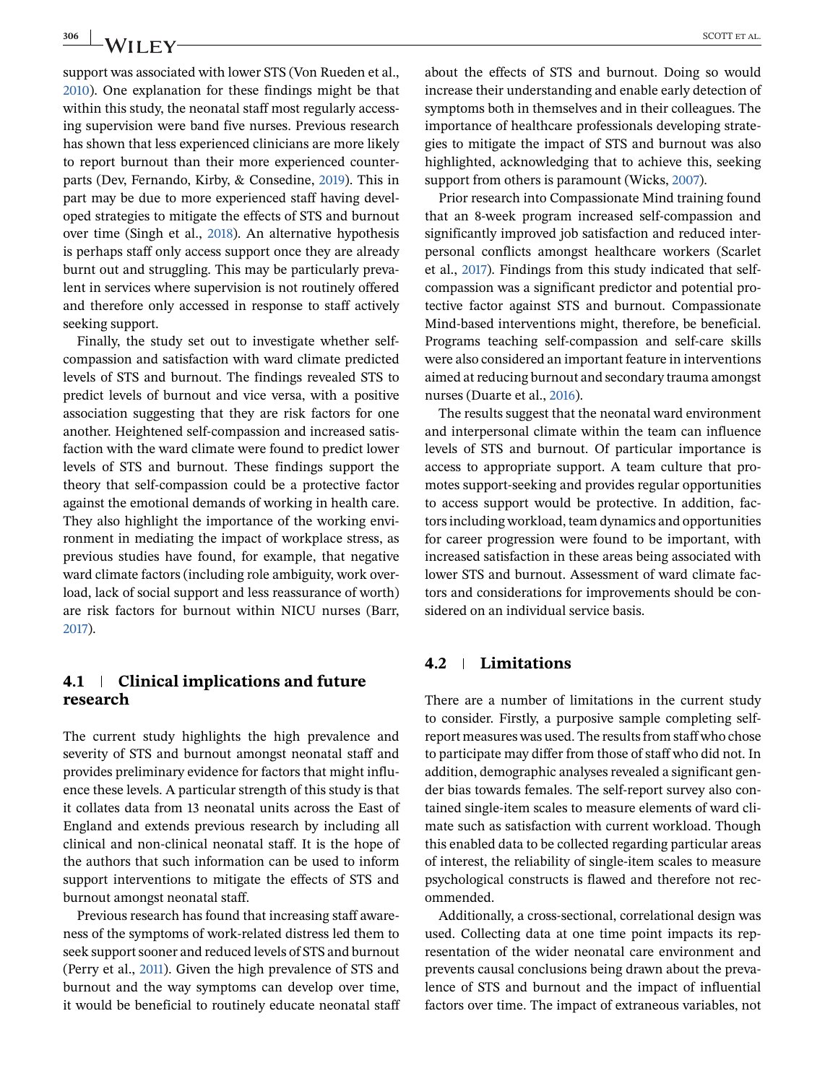support was associated with lower STS (Von Rueden et al., [2010\)](#page-9-0). One explanation for these findings might be that within this study, the neonatal staff most regularly accessing supervision were band five nurses. Previous research has shown that less experienced clinicians are more likely to report burnout than their more experienced counterparts (Dev, Fernando, Kirby, & Consedine, [2019\)](#page-9-0). This in part may be due to more experienced staff having developed strategies to mitigate the effects of STS and burnout over time (Singh et al., [2018\)](#page-9-0). An alternative hypothesis is perhaps staff only access support once they are already burnt out and struggling. This may be particularly prevalent in services where supervision is not routinely offered and therefore only accessed in response to staff actively seeking support.

Finally, the study set out to investigate whether selfcompassion and satisfaction with ward climate predicted levels of STS and burnout. The findings revealed STS to predict levels of burnout and vice versa, with a positive association suggesting that they are risk factors for one another. Heightened self-compassion and increased satisfaction with the ward climate were found to predict lower levels of STS and burnout. These findings support the theory that self-compassion could be a protective factor against the emotional demands of working in health care. They also highlight the importance of the working environment in mediating the impact of workplace stress, as previous studies have found, for example, that negative ward climate factors (including role ambiguity, work overload, lack of social support and less reassurance of worth) are risk factors for burnout within NICU nurses (Barr, [2017\)](#page-8-0).

# **4.1 Clinical implications and future research**

The current study highlights the high prevalence and severity of STS and burnout amongst neonatal staff and provides preliminary evidence for factors that might influence these levels. A particular strength of this study is that it collates data from 13 neonatal units across the East of England and extends previous research by including all clinical and non-clinical neonatal staff. It is the hope of the authors that such information can be used to inform support interventions to mitigate the effects of STS and burnout amongst neonatal staff.

Previous research has found that increasing staff awareness of the symptoms of work-related distress led them to seek support sooner and reduced levels of STS and burnout (Perry et al., [2011\)](#page-9-0). Given the high prevalence of STS and burnout and the way symptoms can develop over time, it would be beneficial to routinely educate neonatal staff about the effects of STS and burnout. Doing so would increase their understanding and enable early detection of symptoms both in themselves and in their colleagues. The importance of healthcare professionals developing strategies to mitigate the impact of STS and burnout was also highlighted, acknowledging that to achieve this, seeking support from others is paramount (Wicks, [2007\)](#page-10-0).

Prior research into Compassionate Mind training found that an 8-week program increased self-compassion and significantly improved job satisfaction and reduced interpersonal conflicts amongst healthcare workers (Scarlet et al., [2017\)](#page-9-0). Findings from this study indicated that selfcompassion was a significant predictor and potential protective factor against STS and burnout. Compassionate Mind-based interventions might, therefore, be beneficial. Programs teaching self-compassion and self-care skills were also considered an important feature in interventions aimed at reducing burnout and secondary trauma amongst nurses (Duarte et al., [2016\)](#page-9-0).

The results suggest that the neonatal ward environment and interpersonal climate within the team can influence levels of STS and burnout. Of particular importance is access to appropriate support. A team culture that promotes support-seeking and provides regular opportunities to access support would be protective. In addition, factors including workload, team dynamics and opportunities for career progression were found to be important, with increased satisfaction in these areas being associated with lower STS and burnout. Assessment of ward climate factors and considerations for improvements should be considered on an individual service basis.

# **4.2 Limitations**

There are a number of limitations in the current study to consider. Firstly, a purposive sample completing selfreport measures was used. The results from staff who chose to participate may differ from those of staff who did not. In addition, demographic analyses revealed a significant gender bias towards females. The self-report survey also contained single-item scales to measure elements of ward climate such as satisfaction with current workload. Though this enabled data to be collected regarding particular areas of interest, the reliability of single-item scales to measure psychological constructs is flawed and therefore not recommended.

Additionally, a cross-sectional, correlational design was used. Collecting data at one time point impacts its representation of the wider neonatal care environment and prevents causal conclusions being drawn about the prevalence of STS and burnout and the impact of influential factors over time. The impact of extraneous variables, not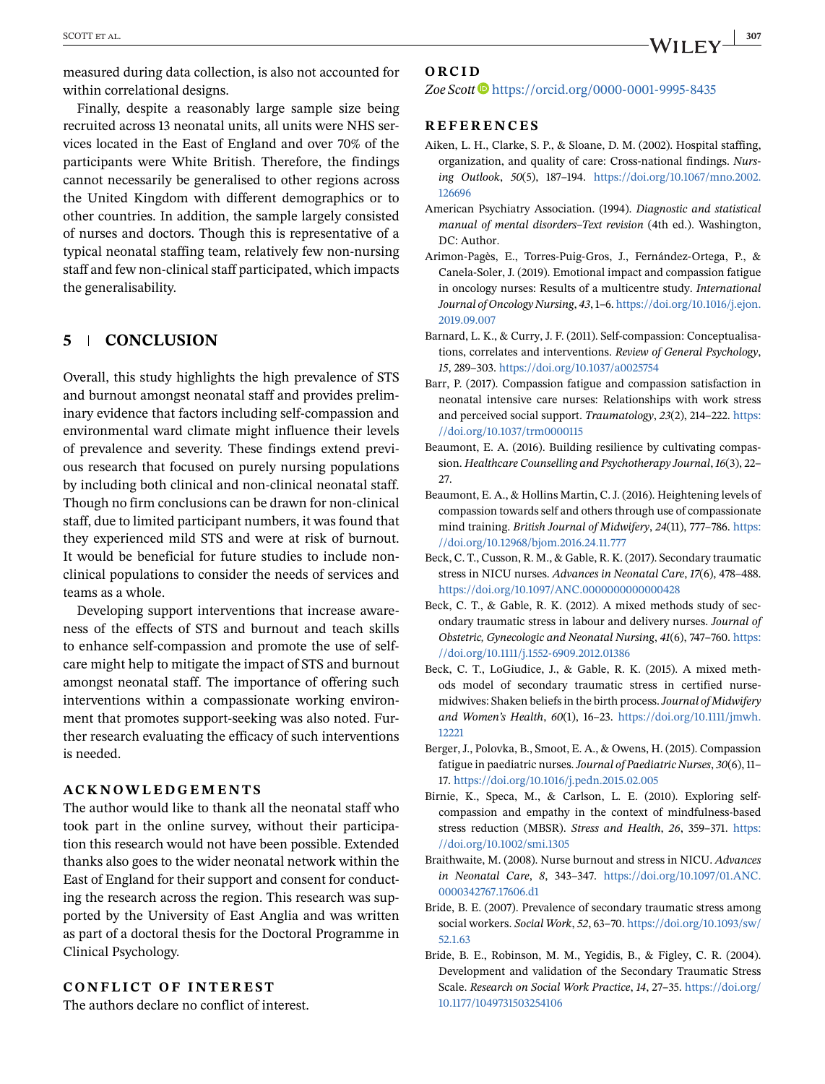<span id="page-8-0"></span>measured during data collection, is also not accounted for within correlational designs.

Finally, despite a reasonably large sample size being recruited across 13 neonatal units, all units were NHS services located in the East of England and over 70% of the participants were White British. Therefore, the findings cannot necessarily be generalised to other regions across the United Kingdom with different demographics or to other countries. In addition, the sample largely consisted of nurses and doctors. Though this is representative of a typical neonatal staffing team, relatively few non-nursing staff and few non-clinical staff participated, which impacts the generalisability.

# **5 CONCLUSION**

Overall, this study highlights the high prevalence of STS and burnout amongst neonatal staff and provides preliminary evidence that factors including self-compassion and environmental ward climate might influence their levels of prevalence and severity. These findings extend previous research that focused on purely nursing populations by including both clinical and non-clinical neonatal staff. Though no firm conclusions can be drawn for non-clinical staff, due to limited participant numbers, it was found that they experienced mild STS and were at risk of burnout. It would be beneficial for future studies to include nonclinical populations to consider the needs of services and teams as a whole.

Developing support interventions that increase awareness of the effects of STS and burnout and teach skills to enhance self-compassion and promote the use of selfcare might help to mitigate the impact of STS and burnout amongst neonatal staff. The importance of offering such interventions within a compassionate working environment that promotes support-seeking was also noted. Further research evaluating the efficacy of such interventions is needed.

#### **ACKNOWLEDGEMENTS**

The author would like to thank all the neonatal staff who took part in the online survey, without their participation this research would not have been possible. Extended thanks also goes to the wider neonatal network within the East of England for their support and consent for conducting the research across the region. This research was supported by the University of East Anglia and was written as part of a doctoral thesis for the Doctoral Programme in Clinical Psychology.

### **CONFLICT OF INTEREST**

The authors declare no conflict of interest.

#### **ORCID**

Zoe Scott<sup>1</sup> <https://orcid.org/0000-0001-9995-8435>

#### **REFERENCES**

- Aiken, L. H., Clarke, S. P., & Sloane, D. M. (2002). Hospital staffing, organization, and quality of care: Cross-national findings. *Nursing Outlook*, *50*(5), 187–194. [https://doi.org/10.1067/mno.2002.](https://doi.org/10.1067/mno.2002.126696) [126696](https://doi.org/10.1067/mno.2002.126696)
- American Psychiatry Association. (1994). *Diagnostic and statistical manual of mental disorders–Text revision* (4th ed.). Washington, DC: Author.
- Arimon-Pagès, E., Torres-Puig-Gros, J., Fernández-Ortega, P., & Canela-Soler, J. (2019). Emotional impact and compassion fatigue in oncology nurses: Results of a multicentre study. *International Journal of Oncology Nursing*, *43*, 1–6. [https://doi.org/10.1016/j.ejon.](https://doi.org/10.1016/j.ejon.2019.09.007) [2019.09.007](https://doi.org/10.1016/j.ejon.2019.09.007)
- Barnard, L. K., & Curry, J. F. (2011). Self-compassion: Conceptualisations, correlates and interventions. *Review of General Psychology*, *15*, 289–303. <https://doi.org/10.1037/a0025754>
- Barr, P. (2017). Compassion fatigue and compassion satisfaction in neonatal intensive care nurses: Relationships with work stress and perceived social support. *Traumatology*, *23*(2), 214–222. [https:](https://doi.org/10.1037/trm0000115) [//doi.org/10.1037/trm0000115](https://doi.org/10.1037/trm0000115)
- Beaumont, E. A. (2016). Building resilience by cultivating compassion. *Healthcare Counselling and Psychotherapy Journal*, *16*(3), 22– 27.
- Beaumont, E. A., & Hollins Martin, C. J. (2016). Heightening levels of compassion towards self and others through use of compassionate mind training. *British Journal of Midwifery*, *24*(11), 777–786. [https:](https://doi.org/10.12968/bjom.2016.24.11.777) [//doi.org/10.12968/bjom.2016.24.11.777](https://doi.org/10.12968/bjom.2016.24.11.777)
- Beck, C. T., Cusson, R. M., & Gable, R. K. (2017). Secondary traumatic stress in NICU nurses. *Advances in Neonatal Care*, *17*(6), 478–488. <https://doi.org/10.1097/ANC.0000000000000428>
- Beck, C. T., & Gable, R. K. (2012). A mixed methods study of secondary traumatic stress in labour and delivery nurses. *Journal of Obstetric, Gynecologic and Neonatal Nursing*, *41*(6), 747–760. [https:](https://doi.org/10.1111/j.1552-6909.2012.01386) [//doi.org/10.1111/j.1552-6909.2012.01386](https://doi.org/10.1111/j.1552-6909.2012.01386)
- Beck, C. T., LoGiudice, J., & Gable, R. K. (2015). A mixed methods model of secondary traumatic stress in certified nursemidwives: Shaken beliefs in the birth process.*Journal of Midwifery and Women's Health*, *60*(1), 16–23. [https://doi.org/10.1111/jmwh.](https://doi.org/10.1111/jmwh.12221) [12221](https://doi.org/10.1111/jmwh.12221)
- Berger, J., Polovka, B., Smoot, E. A., & Owens, H. (2015). Compassion fatigue in paediatric nurses.*Journal of Paediatric Nurses*, *30*(6), 11– 17. <https://doi.org/10.1016/j.pedn.2015.02.005>
- Birnie, K., Speca, M., & Carlson, L. E. (2010). Exploring selfcompassion and empathy in the context of mindfulness-based stress reduction (MBSR). *Stress and Health*, *26*, 359–371. [https:](https://doi.org/10.1002/smi.1305) [//doi.org/10.1002/smi.1305](https://doi.org/10.1002/smi.1305)
- Braithwaite, M. (2008). Nurse burnout and stress in NICU. *Advances in Neonatal Care*, *8*, 343–347. [https://doi.org/10.1097/01.ANC.](https://doi.org/10.1097/01.ANC.0000342767.17606.d1) [0000342767.17606.d1](https://doi.org/10.1097/01.ANC.0000342767.17606.d1)
- Bride, B. E. (2007). Prevalence of secondary traumatic stress among social workers. *Social Work*, *52*, 63–70. [https://doi.org/10.1093/sw/](https://doi.org/10.1093/sw/52.1.63) [52.1.63](https://doi.org/10.1093/sw/52.1.63)
- Bride, B. E., Robinson, M. M., Yegidis, B., & Figley, C. R. (2004). Development and validation of the Secondary Traumatic Stress Scale. *Research on Social Work Practice*, *14*, 27–35. [https://doi.org/](https://doi.org/10.1177/1049731503254106) [10.1177/1049731503254106](https://doi.org/10.1177/1049731503254106)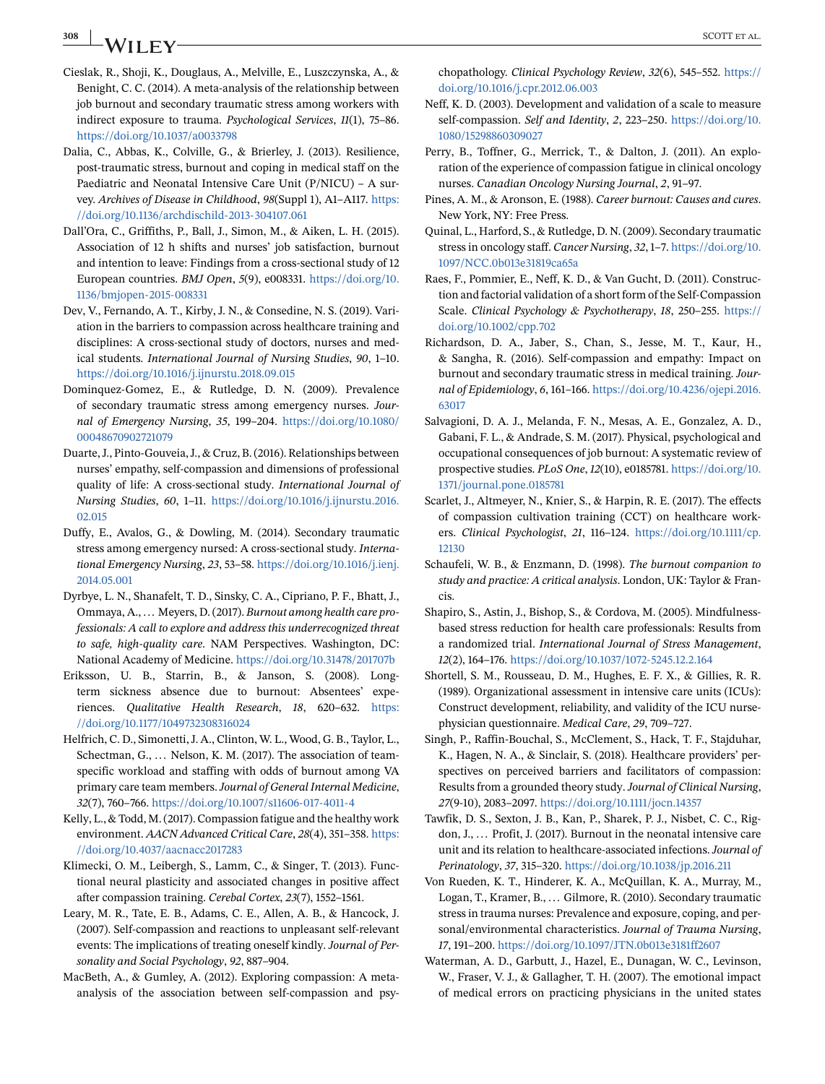# <span id="page-9-0"></span>**308 SCOTT ET AL.** SCOTT ET AL.

- Cieslak, R., Shoji, K., Douglaus, A., Melville, E., Luszczynska, A., & Benight, C. C. (2014). A meta-analysis of the relationship between job burnout and secondary traumatic stress among workers with indirect exposure to trauma. *Psychological Services*, *11*(1), 75–86. <https://doi.org/10.1037/a0033798>
- Dalia, C., Abbas, K., Colville, G., & Brierley, J. (2013). Resilience, post-traumatic stress, burnout and coping in medical staff on the Paediatric and Neonatal Intensive Care Unit (P/NICU) – A survey. *Archives of Disease in Childhood*, *98*(Suppl 1), A1–A117. [https:](https://doi.org/10.1136/archdischild-2013-304107.061) [//doi.org/10.1136/archdischild-2013-304107.061](https://doi.org/10.1136/archdischild-2013-304107.061)
- Dall'Ora, C., Griffiths, P., Ball, J., Simon, M., & Aiken, L. H. (2015). Association of 12 h shifts and nurses' job satisfaction, burnout and intention to leave: Findings from a cross-sectional study of 12 European countries. *BMJ Open*, *5*(9), e008331. [https://doi.org/10.](https://doi.org/10.1136/bmjopen-2015-008331) [1136/bmjopen-2015-008331](https://doi.org/10.1136/bmjopen-2015-008331)
- Dev, V., Fernando, A. T., Kirby, J. N., & Consedine, N. S. (2019). Variation in the barriers to compassion across healthcare training and disciplines: A cross-sectional study of doctors, nurses and medical students. *International Journal of Nursing Studies*, *90*, 1–10. <https://doi.org/10.1016/j.ijnurstu.2018.09.015>
- Dominquez-Gomez, E., & Rutledge, D. N. (2009). Prevalence of secondary traumatic stress among emergency nurses. *Journal of Emergency Nursing*, *35*, 199–204. [https://doi.org/10.1080/](https://doi.org/10.1080/00048670902721079) [00048670902721079](https://doi.org/10.1080/00048670902721079)
- Duarte, J., Pinto-Gouveia, J., & Cruz, B. (2016). Relationships between nurses' empathy, self-compassion and dimensions of professional quality of life: A cross-sectional study. *International Journal of Nursing Studies*, *60*, 1–11. [https://doi.org/10.1016/j.ijnurstu.2016.](https://doi.org/10.1016/j.ijnurstu.2016.02.015) [02.015](https://doi.org/10.1016/j.ijnurstu.2016.02.015)
- Duffy, E., Avalos, G., & Dowling, M. (2014). Secondary traumatic stress among emergency nursed: A cross-sectional study. *International Emergency Nursing*, *23*, 53–58. [https://doi.org/10.1016/j.ienj.](https://doi.org/10.1016/j.ienj.2014.05.001) [2014.05.001](https://doi.org/10.1016/j.ienj.2014.05.001)
- Dyrbye, L. N., Shanafelt, T. D., Sinsky, C. A., Cipriano, P. F., Bhatt, J., Ommaya, A., ... Meyers, D. (2017). *Burnout among health care professionals: A call to explore and address this underrecognized threat to safe, high-quality care*. NAM Perspectives. Washington, DC: National Academy of Medicine. <https://doi.org/10.31478/201707b>
- Eriksson, U. B., Starrin, B., & Janson, S. (2008). Longterm sickness absence due to burnout: Absentees' experiences. *Qualitative Health Research*, *18*, 620–632. [https:](https://doi.org/10.1177/1049732308316024) [//doi.org/10.1177/1049732308316024](https://doi.org/10.1177/1049732308316024)
- Helfrich, C. D., Simonetti, J. A., Clinton, W. L., Wood, G. B., Taylor, L., Schectman, G., ... Nelson, K. M. (2017). The association of teamspecific workload and staffing with odds of burnout among VA primary care team members.*Journal of General Internal Medicine*, *32*(7), 760–766. <https://doi.org/10.1007/s11606-017-4011-4>
- Kelly, L., & Todd, M. (2017). Compassion fatigue and the healthy work environment. *AACN Advanced Critical Care*, *28*(4), 351–358. [https:](https://doi.org/10.4037/aacnacc2017283) [//doi.org/10.4037/aacnacc2017283](https://doi.org/10.4037/aacnacc2017283)
- Klimecki, O. M., Leibergh, S., Lamm, C., & Singer, T. (2013). Functional neural plasticity and associated changes in positive affect after compassion training. *Cerebal Cortex*, *23*(7), 1552–1561.
- Leary, M. R., Tate, E. B., Adams, C. E., Allen, A. B., & Hancock, J. (2007). Self-compassion and reactions to unpleasant self-relevant events: The implications of treating oneself kindly. *Journal of Personality and Social Psychology*, *92*, 887–904.
- MacBeth, A., & Gumley, A. (2012). Exploring compassion: A metaanalysis of the association between self-compassion and psy-

chopathology. *Clinical Psychology Review*, *32*(6), 545–552. [https://](https://doi.org/10.1016/j.cpr.2012.06.003) [doi.org/10.1016/j.cpr.2012.06.003](https://doi.org/10.1016/j.cpr.2012.06.003)

- Neff, K. D. (2003). Development and validation of a scale to measure self-compassion. *Self and Identity*, *2*, 223–250. [https://doi.org/10.](https://doi.org/10.1080/15298860309027) [1080/15298860309027](https://doi.org/10.1080/15298860309027)
- Perry, B., Toffner, G., Merrick, T., & Dalton, J. (2011). An exploration of the experience of compassion fatigue in clinical oncology nurses. *Canadian Oncology Nursing Journal*, *2*, 91–97.
- Pines, A. M., & Aronson, E. (1988). *Career burnout: Causes and cures*. New York, NY: Free Press.
- Quinal, L., Harford, S., & Rutledge, D. N. (2009). Secondary traumatic stress in oncology staff. *Cancer Nursing*, *32*, 1–7. [https://doi.org/10.](https://doi.org/10.1097/NCC.0b013e31819ca65a) [1097/NCC.0b013e31819ca65a](https://doi.org/10.1097/NCC.0b013e31819ca65a)
- Raes, F., Pommier, E., Neff, K. D., & Van Gucht, D. (2011). Construction and factorial validation of a short form of the Self-Compassion Scale. *Clinical Psychology & Psychotherapy*, *18*, 250–255. [https://](https://doi.org/10.1002/cpp.702) [doi.org/10.1002/cpp.702](https://doi.org/10.1002/cpp.702)
- Richardson, D. A., Jaber, S., Chan, S., Jesse, M. T., Kaur, H., & Sangha, R. (2016). Self-compassion and empathy: Impact on burnout and secondary traumatic stress in medical training. *Journal of Epidemiology*, *6*, 161–166. [https://doi.org/10.4236/ojepi.2016.](https://doi.org/10.4236/ojepi.2016.63017) [63017](https://doi.org/10.4236/ojepi.2016.63017)
- Salvagioni, D. A. J., Melanda, F. N., Mesas, A. E., Gonzalez, A. D., Gabani, F. L., & Andrade, S. M. (2017). Physical, psychological and occupational consequences of job burnout: A systematic review of prospective studies. *PLoS One*, *12*(10), e0185781. [https://doi.org/10.](https://doi.org/10.1371/journal.pone.0185781) [1371/journal.pone.0185781](https://doi.org/10.1371/journal.pone.0185781)
- Scarlet, J., Altmeyer, N., Knier, S., & Harpin, R. E. (2017). The effects of compassion cultivation training (CCT) on healthcare workers. *Clinical Psychologist*, *21*, 116–124. [https://doi.org/10.1111/cp.](https://doi.org/10.1111/cp.12130) [12130](https://doi.org/10.1111/cp.12130)
- Schaufeli, W. B., & Enzmann, D. (1998). *The burnout companion to study and practice: A critical analysis*. London, UK: Taylor & Francis.
- Shapiro, S., Astin, J., Bishop, S., & Cordova, M. (2005). Mindfulnessbased stress reduction for health care professionals: Results from a randomized trial. *International Journal of Stress Management*, *12*(2), 164–176. <https://doi.org/10.1037/1072-5245.12.2.164>
- Shortell, S. M., Rousseau, D. M., Hughes, E. F. X., & Gillies, R. R. (1989). Organizational assessment in intensive care units (ICUs): Construct development, reliability, and validity of the ICU nursephysician questionnaire. *Medical Care*, *29*, 709–727.
- Singh, P., Raffin-Bouchal, S., McClement, S., Hack, T. F., Stajduhar, K., Hagen, N. A., & Sinclair, S. (2018). Healthcare providers' perspectives on perceived barriers and facilitators of compassion: Results from a grounded theory study. *Journal of Clinical Nursing*, *27*(9-10), 2083–2097. <https://doi.org/10.1111/jocn.14357>
- Tawfik, D. S., Sexton, J. B., Kan, P., Sharek, P. J., Nisbet, C. C., Rigdon, J., ... Profit, J. (2017). Burnout in the neonatal intensive care unit and its relation to healthcare-associated infections. *Journal of Perinatology*, *37*, 315–320. <https://doi.org/10.1038/jp.2016.211>
- Von Rueden, K. T., Hinderer, K. A., McQuillan, K. A., Murray, M., Logan, T., Kramer, B., ... Gilmore, R. (2010). Secondary traumatic stress in trauma nurses: Prevalence and exposure, coping, and personal/environmental characteristics. *Journal of Trauma Nursing*, *17*, 191–200. <https://doi.org/10.1097/JTN.0b013e3181ff2607>
- Waterman, A. D., Garbutt, J., Hazel, E., Dunagan, W. C., Levinson, W., Fraser, V. J., & Gallagher, T. H. (2007). The emotional impact of medical errors on practicing physicians in the united states